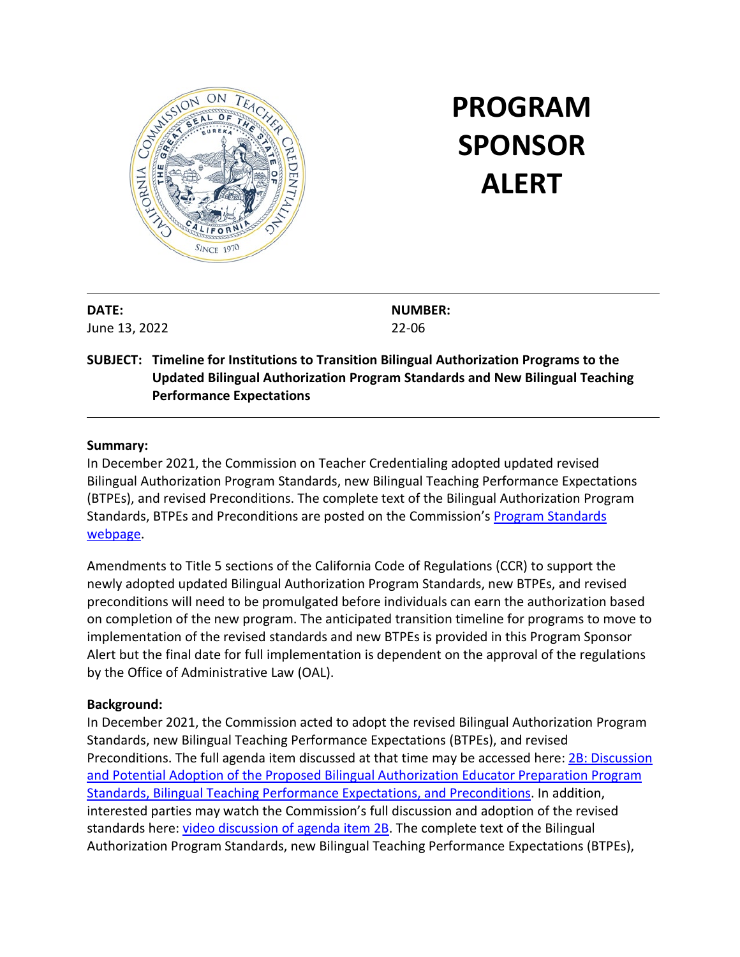

# **PROGRAM SPONSOR ALERT**

| <b>DATE:</b> |               |
|--------------|---------------|
|              | June 13, 2022 |

**NUMBER:** 22-06

## **SUBJECT: Timeline for Institutions to Transition Bilingual Authorization Programs to the Updated Bilingual Authorization Program Standards and New Bilingual Teaching Performance Expectations**

## **Summary:**

In December 2021, the Commission on Teacher Credentialing adopted updated revised Bilingual Authorization Program Standards, new Bilingual Teaching Performance Expectations (BTPEs), and revised Preconditions. The complete text of the Bilingual Authorization Program Standards, BTPEs and Preconditions are posted on the Commission's [Program Standards](https://www.ctc.ca.gov/educator-prep/stds-prep-program)  [webpage.](https://www.ctc.ca.gov/educator-prep/stds-prep-program)

Amendments to Title 5 sections of the California Code of Regulations (CCR) to support the newly adopted updated Bilingual Authorization Program Standards, new BTPEs, and revised preconditions will need to be promulgated before individuals can earn the authorization based on completion of the new program. The anticipated transition timeline for programs to move to implementation of the revised standards and new BTPEs is provided in this Program Sponsor Alert but the final date for full implementation is dependent on the approval of the regulations by the Office of Administrative Law (OAL).

#### **Background:**

In December 2021, the Commission acted to adopt the revised Bilingual Authorization Program Standards, new Bilingual Teaching Performance Expectations (BTPEs), and revised Preconditions. The full agenda item discussed at that time may be accessed here: [2B: Discussion](https://www.ctc.ca.gov/docs/default-source/commission/agendas/2021-12/2021-12-2b.pdf?sfvrsn=9a1925b1_2)  [and Potential Adoption of the Proposed Bilingual Authorization Educator Preparation Program](https://www.ctc.ca.gov/docs/default-source/commission/agendas/2021-12/2021-12-2b.pdf?sfvrsn=9a1925b1_2)  [Standards, Bilingual Teaching Performance Expectations, and Preconditions.](https://www.ctc.ca.gov/docs/default-source/commission/agendas/2021-12/2021-12-2b.pdf?sfvrsn=9a1925b1_2) In addition, interested parties may watch the Commission's full discussion and adoption of the revised standards here: video [discussion of agenda item 2B.](https://youtu.be/yPiWQRVh6Ws?t=8198) The complete text of the Bilingual Authorization Program Standards, new Bilingual Teaching Performance Expectations (BTPEs),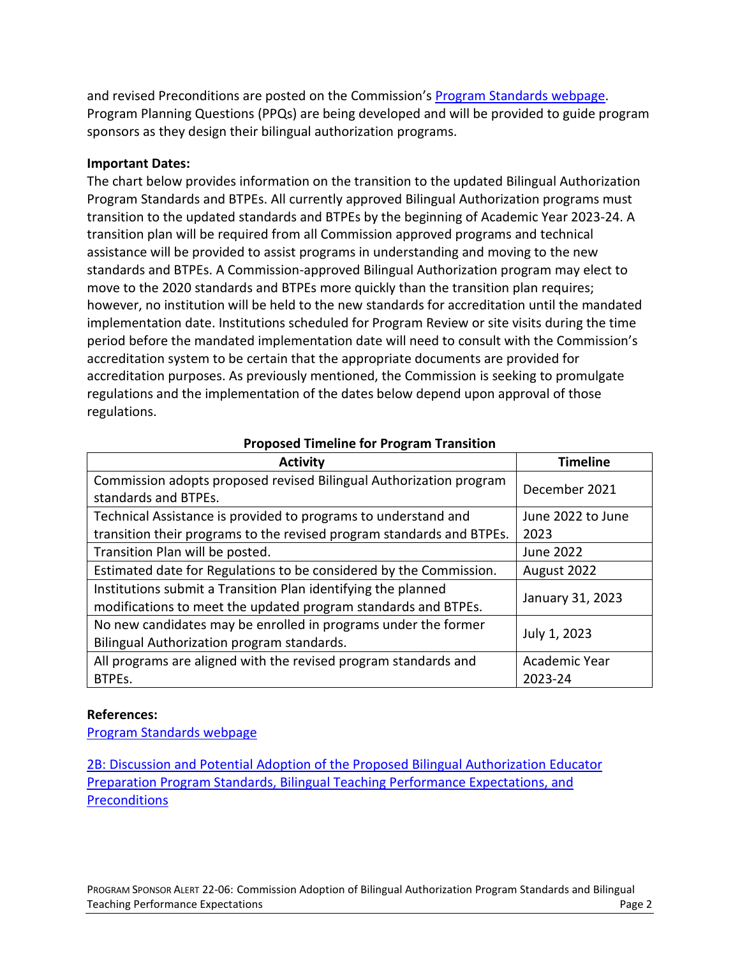and revised Preconditions are posted on the Commission's [Program Standards webpage.](https://www.ctc.ca.gov/educator-prep/stds-prep-program) Program Planning Questions (PPQs) are being developed and will be provided to guide program sponsors as they design their bilingual authorization programs.

#### **Important Dates:**

The chart below provides information on the transition to the updated Bilingual Authorization Program Standards and BTPEs. All currently approved Bilingual Authorization programs must transition to the updated standards and BTPEs by the beginning of Academic Year 2023-24. A transition plan will be required from all Commission approved programs and technical assistance will be provided to assist programs in understanding and moving to the new standards and BTPEs. A Commission-approved Bilingual Authorization program may elect to move to the 2020 standards and BTPEs more quickly than the transition plan requires; however, no institution will be held to the new standards for accreditation until the mandated implementation date. Institutions scheduled for Program Review or site visits during the time period before the mandated implementation date will need to consult with the Commission's accreditation system to be certain that the appropriate documents are provided for accreditation purposes. As previously mentioned, the Commission is seeking to promulgate regulations and the implementation of the dates below depend upon approval of those regulations.

| <b>Activity</b>                                                       | <b>Timeline</b>   |
|-----------------------------------------------------------------------|-------------------|
| Commission adopts proposed revised Bilingual Authorization program    | December 2021     |
| standards and BTPEs.                                                  |                   |
| Technical Assistance is provided to programs to understand and        | June 2022 to June |
| transition their programs to the revised program standards and BTPEs. | 2023              |
| Transition Plan will be posted.                                       | <b>June 2022</b>  |
| Estimated date for Regulations to be considered by the Commission.    | August 2022       |
| Institutions submit a Transition Plan identifying the planned         | January 31, 2023  |
| modifications to meet the updated program standards and BTPEs.        |                   |
| No new candidates may be enrolled in programs under the former        | July 1, 2023      |
| Bilingual Authorization program standards.                            |                   |
| All programs are aligned with the revised program standards and       | Academic Year     |
| BTPEs.                                                                | 2023-24           |

#### **Proposed Timeline for Program Transition**

#### **References:**

[Program Standards webpage](https://www.ctc.ca.gov/educator-prep/stds-prep-program)

[2B: Discussion and Potential Adoption of the Proposed Bilingual Authorization Educator](https://www.ctc.ca.gov/docs/default-source/commission/agendas/2021-12/2021-12-2b.pdf?sfvrsn=9a1925b1_2)  [Preparation Program Standards, Bilingual Teaching Performance Expectations, and](https://www.ctc.ca.gov/docs/default-source/commission/agendas/2021-12/2021-12-2b.pdf?sfvrsn=9a1925b1_2)  **[Preconditions](https://www.ctc.ca.gov/docs/default-source/commission/agendas/2021-12/2021-12-2b.pdf?sfvrsn=9a1925b1_2)**